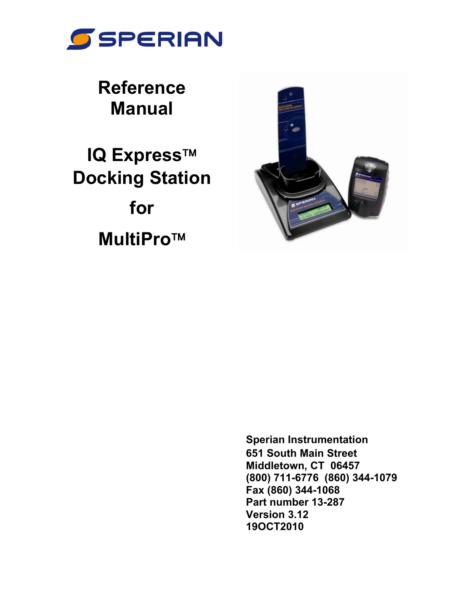

## **Reference Manual**

**IQ Express Docking Station for MultiPro**



**Sperian Instrumentation 651 South Main Street Middletown, CT 06457 (800) 711-6776 (860) 344-1079 Fax (860) 344-1068 Part number 13-287 Version 3.12 19OCT2010**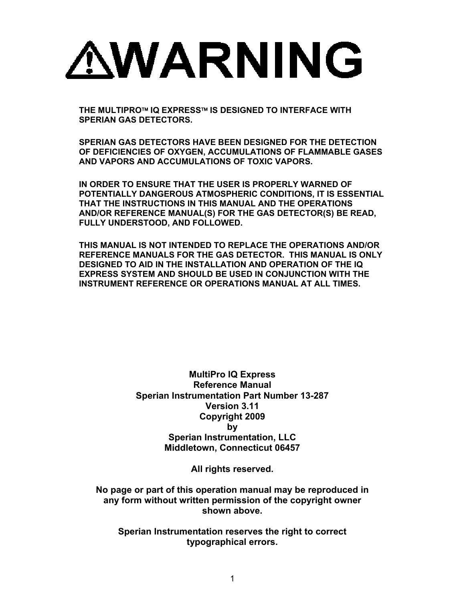# **AWARNING**

**THE MULTIPRO IQ EXPRESS IS DESIGNED TO INTERFACE WITH SPERIAN GAS DETECTORS.** 

**SPERIAN GAS DETECTORS HAVE BEEN DESIGNED FOR THE DETECTION OF DEFICIENCIES OF OXYGEN, ACCUMULATIONS OF FLAMMABLE GASES AND VAPORS AND ACCUMULATIONS OF TOXIC VAPORS.** 

**IN ORDER TO ENSURE THAT THE USER IS PROPERLY WARNED OF POTENTIALLY DANGEROUS ATMOSPHERIC CONDITIONS, IT IS ESSENTIAL THAT THE INSTRUCTIONS IN THIS MANUAL AND THE OPERATIONS AND/OR REFERENCE MANUAL(S) FOR THE GAS DETECTOR(S) BE READ, FULLY UNDERSTOOD, AND FOLLOWED.** 

**THIS MANUAL IS NOT INTENDED TO REPLACE THE OPERATIONS AND/OR REFERENCE MANUALS FOR THE GAS DETECTOR. THIS MANUAL IS ONLY DESIGNED TO AID IN THE INSTALLATION AND OPERATION OF THE IQ EXPRESS SYSTEM AND SHOULD BE USED IN CONJUNCTION WITH THE INSTRUMENT REFERENCE OR OPERATIONS MANUAL AT ALL TIMES.** 

> **MultiPro IQ Express Reference Manual Sperian Instrumentation Part Number 13-287 Version 3.11 Copyright 2009 by Sperian Instrumentation, LLC Middletown, Connecticut 06457**

> > **All rights reserved.**

**No page or part of this operation manual may be reproduced in any form without written permission of the copyright owner shown above.** 

**Sperian Instrumentation reserves the right to correct typographical errors.**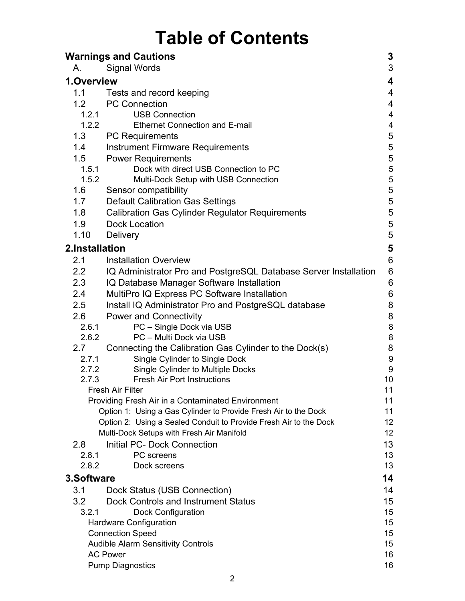# **Table of Contents**

| 3<br><b>Warnings and Cautions</b> |                                                                                       |                         |
|-----------------------------------|---------------------------------------------------------------------------------------|-------------------------|
| А.                                | <b>Signal Words</b>                                                                   | 3                       |
| 1.Overview                        |                                                                                       | 4                       |
| 1.1                               | Tests and record keeping                                                              | 4                       |
| 1.2                               | <b>PC Connection</b>                                                                  | $\overline{\mathbf{4}}$ |
| 1.2.1                             | <b>USB Connection</b>                                                                 | $\overline{\mathbf{4}}$ |
| 1.2.2                             | <b>Ethernet Connection and E-mail</b>                                                 | $\overline{4}$          |
| 1.3                               | <b>PC Requirements</b>                                                                | 5                       |
| 1.4                               | <b>Instrument Firmware Requirements</b>                                               | 5                       |
| 1.5                               | <b>Power Requirements</b>                                                             | 5                       |
| 1.5.1                             | Dock with direct USB Connection to PC                                                 | $\mathbf 5$             |
| 1.5.2                             | Multi-Dock Setup with USB Connection                                                  | 5<br>5                  |
| 1.6<br>1.7                        | Sensor compatibility<br><b>Default Calibration Gas Settings</b>                       | 5                       |
|                                   |                                                                                       | 5                       |
| 1.8<br>1.9                        | <b>Calibration Gas Cylinder Regulator Requirements</b><br><b>Dock Location</b>        | 5                       |
|                                   | 1.10 Delivery                                                                         | 5                       |
|                                   |                                                                                       |                         |
| 2.Installation                    |                                                                                       | 5                       |
| 2.1                               | <b>Installation Overview</b>                                                          | $\,6$                   |
| 2.2                               | IQ Administrator Pro and PostgreSQL Database Server Installation                      | 6<br>$\,6$              |
| 2.3<br>2.4                        | IQ Database Manager Software Installation                                             | 6                       |
| 2.5                               | MultiPro IQ Express PC Software Installation                                          | 8                       |
| 2.6                               | Install IQ Administrator Pro and PostgreSQL database<br><b>Power and Connectivity</b> | 8                       |
| 2.6.1                             | PC - Single Dock via USB                                                              | 8                       |
| 2.6.2                             | PC - Multi Dock via USB                                                               | 8                       |
| 2.7                               | Connecting the Calibration Gas Cylinder to the Dock(s)                                | 8                       |
| 2.7.1                             | Single Cylinder to Single Dock                                                        | $\boldsymbol{9}$        |
| 2.7.2                             | Single Cylinder to Multiple Docks                                                     | 9                       |
| 2.7.3                             | <b>Fresh Air Port Instructions</b>                                                    | 10                      |
|                                   | Fresh Air Filter                                                                      | 11                      |
|                                   | Providing Fresh Air in a Contaminated Environment                                     | 11                      |
|                                   | Option 1: Using a Gas Cylinder to Provide Fresh Air to the Dock                       | 11                      |
|                                   | Option 2: Using a Sealed Conduit to Provide Fresh Air to the Dock                     | 12 <sub>2</sub>         |
|                                   | Multi-Dock Setups with Fresh Air Manifold                                             | 12 <sub>2</sub>         |
| 2.8                               | Initial PC- Dock Connection                                                           | 13                      |
| 2.8.1<br>2.8.2                    | PC screens<br>Dock screens                                                            | 13<br>13 <sup>°</sup>   |
|                                   |                                                                                       |                         |
| 3.Software                        |                                                                                       | 14                      |
| 3.1                               | Dock Status (USB Connection)                                                          | 14                      |
| 3.2                               | Dock Controls and Instrument Status                                                   | 15                      |
| 3.2.1                             | Dock Configuration<br>Hardware Configuration                                          | 15<br>15 <sub>1</sub>   |
|                                   | <b>Connection Speed</b>                                                               | 15                      |
|                                   | <b>Audible Alarm Sensitivity Controls</b>                                             | 15                      |
|                                   | <b>AC Power</b>                                                                       | 16                      |
|                                   | <b>Pump Diagnostics</b>                                                               | 16                      |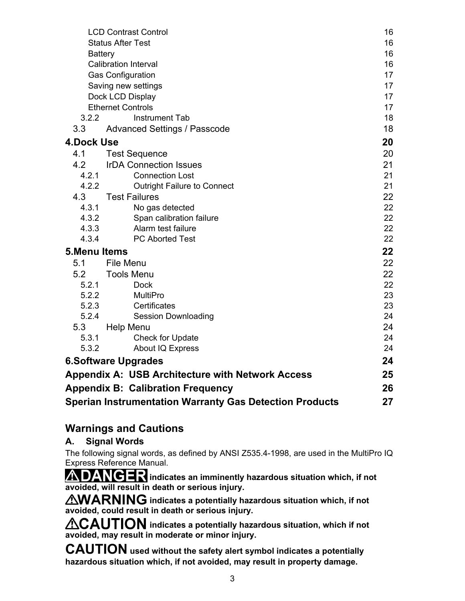|                     | <b>LCD Contrast Control</b>                                    | 16       |
|---------------------|----------------------------------------------------------------|----------|
|                     | <b>Status After Test</b>                                       | 16       |
| <b>Battery</b>      |                                                                | 16       |
|                     | <b>Calibration Interval</b>                                    | 16       |
|                     | <b>Gas Configuration</b>                                       | 17       |
|                     | Saving new settings                                            | 17       |
|                     | Dock LCD Display                                               | 17       |
|                     | <b>Ethernet Controls</b>                                       | 17       |
| 3.2.2               | Instrument Tab                                                 | 18       |
| 3.3                 | <b>Advanced Settings / Passcode</b>                            | 18       |
| <b>4.Dock Use</b>   |                                                                | 20       |
| 4.1                 | <b>Test Sequence</b>                                           | 20       |
| 4.2                 | <b>IrDA Connection Issues</b>                                  | 21       |
| 4.2.1               | <b>Connection Lost</b>                                         | 21       |
| 4.2.2               | <b>Outright Failure to Connect</b>                             | 21       |
| 4.3                 | <b>Test Failures</b>                                           | 22       |
| 4.3.1               | No gas detected                                                | 22       |
| 4.3.2               | Span calibration failure                                       | 22       |
| 4.3.3<br>4.3.4      | Alarm test failure<br><b>PC Aborted Test</b>                   | 22<br>22 |
|                     |                                                                |          |
| <b>5.Menu Items</b> |                                                                | 22       |
| 5.1                 | File Menu                                                      | 22       |
| 5.2                 | <b>Tools Menu</b>                                              | 22       |
| 5.2.1<br>5.2.2      | <b>Dock</b><br>MultiPro                                        | 22<br>23 |
| 5.2.3               | Certificates                                                   | 23       |
| 5.2.4               | <b>Session Downloading</b>                                     | 24       |
| 5.3                 | Help Menu                                                      | 24       |
| 5.3.1               | <b>Check for Update</b>                                        | 24       |
| 5.3.2               | About IQ Express                                               | 24       |
|                     | <b>6.Software Upgrades</b>                                     | 24       |
|                     | <b>Appendix A: USB Architecture with Network Access</b>        | 25       |
|                     | <b>Appendix B: Calibration Frequency</b>                       | 26       |
|                     | <b>Sperian Instrumentation Warranty Gas Detection Products</b> | 27       |

### **Warnings and Cautions**

### **A. Signal Words**

The following signal words, as defined by ANSI Z535.4-1998, are used in the MultiPro IQ Express Reference Manual.

**ADANGER** indicates an imminently hazardous situation which, if not **avoided, will result in death or serious injury.** 

*AWARNING* indicates a potentially hazardous situation which, if not **avoided, could result in death or serious injury.** 

**ACAUTION** indicates a potentially hazardous situation, which if not **avoided, may result in moderate or minor injury.** 

**CAUTION used without the safety alert symbol indicates a potentially hazardous situation which, if not avoided, may result in property damage.**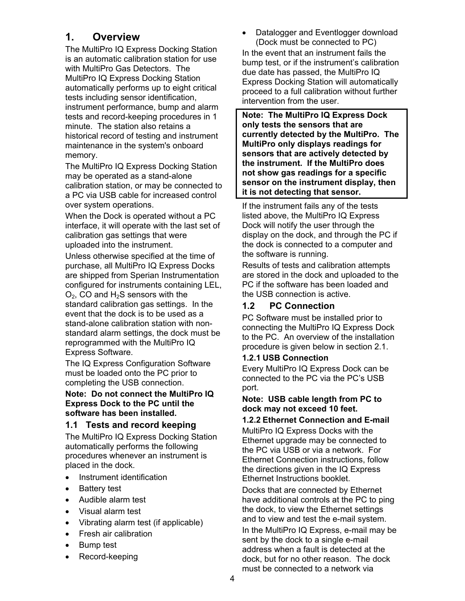### **1. Overview**

The MultiPro IQ Express Docking Station is an automatic calibration station for use with MultiPro Gas Detectors. The MultiPro IQ Express Docking Station automatically performs up to eight critical tests including sensor identification, instrument performance, bump and alarm tests and record-keeping procedures in 1 minute. The station also retains a historical record of testing and instrument maintenance in the system's onboard memory.

The MultiPro IQ Express Docking Station may be operated as a stand-alone calibration station, or may be connected to a PC via USB cable for increased control over system operations.

When the Dock is operated without a PC interface, it will operate with the last set of calibration gas settings that were uploaded into the instrument.

Unless otherwise specified at the time of purchase, all MultiPro IQ Express Docks are shipped from Sperian Instrumentation configured for instruments containing LEL,  $O_2$ , CO and  $H_2S$  sensors with the standard calibration gas settings. In the event that the dock is to be used as a stand-alone calibration station with nonstandard alarm settings, the dock must be reprogrammed with the MultiPro IQ Express Software.

The IQ Express Configuration Software must be loaded onto the PC prior to completing the USB connection.

**Note: Do not connect the MultiPro IQ Express Dock to the PC until the software has been installed.** 

### **1.1 Tests and record keeping**

The MultiPro IQ Express Docking Station automatically performs the following procedures whenever an instrument is placed in the dock.

- Instrument identification
- Battery test
- Audible alarm test
- Visual alarm test
- Vibrating alarm test (if applicable)
- Fresh air calibration
- Bump test
- Record-keeping

 Datalogger and Eventlogger download (Dock must be connected to PC) In the event that an instrument fails the bump test, or if the instrument's calibration due date has passed, the MultiPro IQ Express Docking Station will automatically proceed to a full calibration without further intervention from the user.

**Note: The MultiPro IQ Express Dock only tests the sensors that are currently detected by the MultiPro. The MultiPro only displays readings for sensors that are actively detected by the instrument. If the MultiPro does not show gas readings for a specific sensor on the instrument display, then it is not detecting that sensor.** 

If the instrument fails any of the tests listed above, the MultiPro IQ Express Dock will notify the user through the display on the dock, and through the PC if the dock is connected to a computer and the software is running.

Results of tests and calibration attempts are stored in the dock and uploaded to the PC if the software has been loaded and the USB connection is active.

### **1.2 PC Connection**

PC Software must be installed prior to connecting the MultiPro IQ Express Dock to the PC. An overview of the installation procedure is given below in section 2.1.

### **1.2.1 USB Connection**

Every MultiPro IQ Express Dock can be connected to the PC via the PC's USB port.

#### **Note: USB cable length from PC to dock may not exceed 10 feet.**

**1.2.2 Ethernet Connection and E-mail**  MultiPro IQ Express Docks with the Ethernet upgrade may be connected to the PC via USB or via a network. For Ethernet Connection instructions, follow the directions given in the IQ Express Ethernet Instructions booklet.

Docks that are connected by Ethernet have additional controls at the PC to ping the dock, to view the Ethernet settings and to view and test the e-mail system. In the MultiPro IQ Express, e-mail may be sent by the dock to a single e-mail address when a fault is detected at the dock, but for no other reason. The dock must be connected to a network via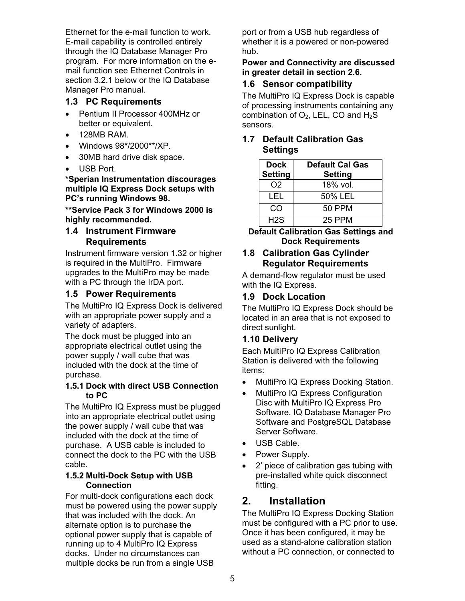Ethernet for the e-mail function to work. E-mail capability is controlled entirely through the IQ Database Manager Pro program. For more information on the email function see Ethernet Controls in section 3.2.1 below or the IQ Database Manager Pro manual.

### **1.3 PC Requirements**

- Pentium II Processor 400MHz or better or equivalent.
- 128MB RAM.
- Windows 98**\***/2000\*\*/XP.
- 30MB hard drive disk space.
- USB Port.

**\*Sperian Instrumentation discourages multiple IQ Express Dock setups with PC's running Windows 98.** 

**\*\*Service Pack 3 for Windows 2000 is highly recommended.** 

### **1.4 Instrument Firmware Requirements**

Instrument firmware version 1.32 or higher is required in the MultiPro. Firmware upgrades to the MultiPro may be made with a PC through the IrDA port.

### **1.5 Power Requirements**

The MultiPro IQ Express Dock is delivered with an appropriate power supply and a variety of adapters.

The dock must be plugged into an appropriate electrical outlet using the power supply / wall cube that was included with the dock at the time of purchase.

### **1.5.1 Dock with direct USB Connection to PC**

The MultiPro IQ Express must be plugged into an appropriate electrical outlet using the power supply / wall cube that was included with the dock at the time of purchase. A USB cable is included to connect the dock to the PC with the USB cable.

### **1.5.2 Multi-Dock Setup with USB Connection**

For multi-dock configurations each dock must be powered using the power supply that was included with the dock. An alternate option is to purchase the optional power supply that is capable of running up to 4 MultiPro IQ Express docks. Under no circumstances can multiple docks be run from a single USB

port or from a USB hub regardless of whether it is a powered or non-powered hub.

### **Power and Connectivity are discussed in greater detail in section 2.6.**

### **1.6 Sensor compatibility**

The MultiPro IQ Express Dock is capable of processing instruments containing any combination of  $O<sub>2</sub>$ , LEL, CO and  $H<sub>2</sub>S$ sensors.

### **1.7 Default Calibration Gas Settings**

| <b>Dock</b><br><b>Setting</b> | <b>Default Cal Gas</b><br><b>Setting</b> |
|-------------------------------|------------------------------------------|
| O <sub>2</sub>                | 18% vol.                                 |
| LEL                           | 50% LEL                                  |
| CO                            | 50 PPM                                   |
| H2S                           | 25 PPM                                   |

### **Default Calibration Gas Settings and Dock Requirements**

### **1.8 Calibration Gas Cylinder Regulator Requirements**

A demand-flow regulator must be used with the IQ Express.

### **1.9 Dock Location**

The MultiPro IQ Express Dock should be located in an area that is not exposed to direct sunlight.

### **1.10 Delivery**

Each MultiPro IQ Express Calibration Station is delivered with the following items:

- MultiPro IQ Express Docking Station.
- MultiPro IQ Express Configuration Disc with MultiPro IQ Express Pro Software, IQ Database Manager Pro Software and PostgreSQL Database Server Software.
- USB Cable.
- Power Supply.
- 2' piece of calibration gas tubing with pre-installed white quick disconnect fitting.

### **2. Installation**

The MultiPro IQ Express Docking Station must be configured with a PC prior to use. Once it has been configured, it may be used as a stand-alone calibration station without a PC connection, or connected to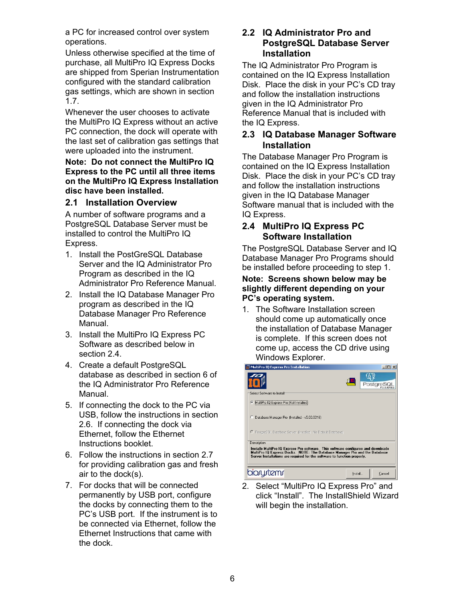a PC for increased control over system operations.

Unless otherwise specified at the time of purchase, all MultiPro IQ Express Docks are shipped from Sperian Instrumentation configured with the standard calibration gas settings, which are shown in section 1.7.

Whenever the user chooses to activate the MultiPro IQ Express without an active PC connection, the dock will operate with the last set of calibration gas settings that were uploaded into the instrument.

**Note: Do not connect the MultiPro IQ Express to the PC until all three items on the MultiPro IQ Express Installation disc have been installed.** 

### **2.1 Installation Overview**

A number of software programs and a PostgreSQL Database Server must be installed to control the MultiPro IQ Express.

- 1. Install the PostGreSQL Database Server and the IQ Administrator Pro Program as described in the IQ Administrator Pro Reference Manual.
- 2. Install the IQ Database Manager Pro program as described in the IQ Database Manager Pro Reference Manual.
- 3. Install the MultiPro IQ Express PC Software as described below in section 2.4.
- 4. Create a default PostgreSQL database as described in section 6 of the IQ Administrator Pro Reference Manual.
- 5. If connecting the dock to the PC via USB, follow the instructions in section 2.6. If connecting the dock via Ethernet, follow the Ethernet Instructions booklet.
- 6. Follow the instructions in section 2.7 for providing calibration gas and fresh air to the dock(s).
- 7. For docks that will be connected permanently by USB port, configure the docks by connecting them to the PC's USB port. If the instrument is to be connected via Ethernet, follow the Ethernet Instructions that came with the dock.

### **2.2 IQ Administrator Pro and PostgreSQL Database Server Installation**

The IQ Administrator Pro Program is contained on the IQ Express Installation Disk. Place the disk in your PC's CD tray and follow the installation instructions given in the IQ Administrator Pro Reference Manual that is included with the IQ Express.

### **2.3 IQ Database Manager Software Installation**

The Database Manager Pro Program is contained on the IQ Express Installation Disk. Place the disk in your PC's CD tray and follow the installation instructions given in the IQ Database Manager Software manual that is included with the IQ Express.

### **2.4 MultiPro IQ Express PC Software Installation**

The PostgreSQL Database Server and IQ Database Manager Pro Programs should be installed before proceeding to step 1.

### **Note: Screens shown below may be slightly different depending on your PC's operating system.**

1. The Software Installation screen should come up automatically once the installation of Database Manager is complete. If this screen does not come up, access the CD drive using Windows Explorer.



2. Select "MultiPro IQ Express Pro" and click "Install". The InstallShield Wizard will begin the installation.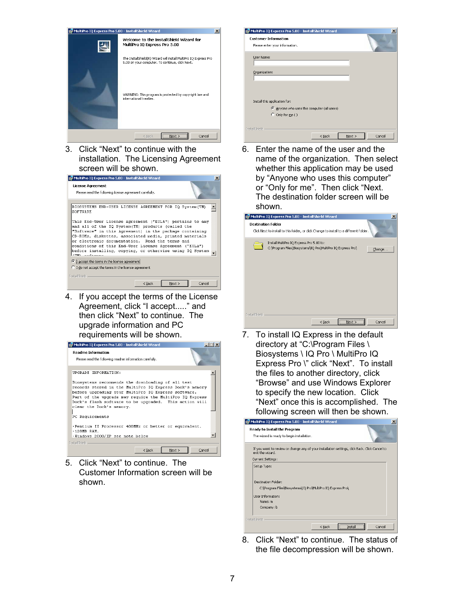

3. Click "Next" to continue with the installation. The Licensing Agreement screen will be shown.



4. If you accept the terms of the License Agreement, click "I accept....." and then click "Next" to continue. The upgrade information and PC requirements will be shown.



5. Click "Next" to continue. The Customer Information screen will be shown.

| MultiPro IQ Express Pro 5.00 - InstallShield Wizard |          |      | ×      |
|-----------------------------------------------------|----------|------|--------|
| <b>Customer Information</b>                         |          |      |        |
| Please enter your information.                      |          |      |        |
| User Name:                                          |          |      |        |
|                                                     |          |      |        |
| Organization:                                       |          |      |        |
|                                                     |          |      |        |
|                                                     |          |      |        |
|                                                     |          |      |        |
| Install this application for:                       |          |      |        |
| Anyone who uses this computer (all users)           |          |      |        |
| $\cap$ Only for me ()                               |          |      |        |
|                                                     |          |      |        |
| <b>InstallShield</b>                                |          |      |        |
|                                                     | $<$ Back | Next | Cancel |

6. Enter the name of the user and the name of the organization. Then select whether this application may be used by "Anyone who uses this computer" or "Only for me". Then click "Next. The destination folder screen will be shown.



7. To install IQ Express in the default directory at "C:\Program Files \ Biosystems \ IQ Pro \ MultiPro IQ Express Pro \" click "Next". To install the files to another directory, click "Browse" and use Windows Explorer to specify the new location. Click "Next" once this is accomplished. The following screen will then be shown.



8. Click "Next" to continue. The status of the file decompression will be shown.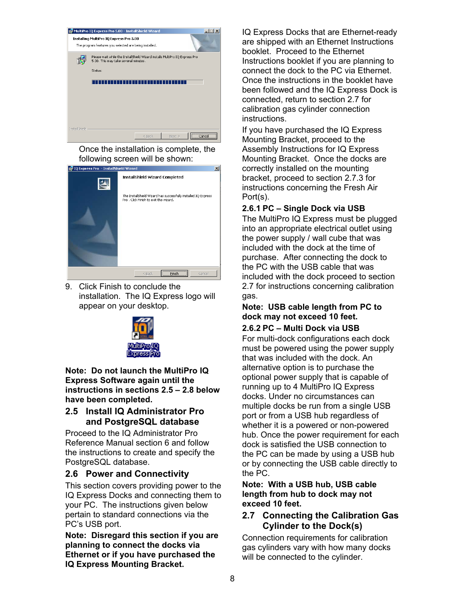

Once the installation is complete, the following screen will be shown:

|                  | IQ Express Pro - InstallShield Wizard<br>$\boldsymbol{\mathsf{x}}$                                      |  |  |  |  |
|------------------|---------------------------------------------------------------------------------------------------------|--|--|--|--|
| $\blacktriangle$ | InstallShield Wizard Completed                                                                          |  |  |  |  |
|                  | The InstallShield Wizard has successfully installed IQ Express<br>Pro, Click Finish to exit the wizard. |  |  |  |  |
|                  |                                                                                                         |  |  |  |  |
|                  | <b>Finish</b><br>$<$ Back<br>Cancel                                                                     |  |  |  |  |

9. Click Finish to conclude the installation. The IQ Express logo will appear on your desktop.



**Note: Do not launch the MultiPro IQ Express Software again until the instructions in sections 2.5 – 2.8 below have been completed.** 

### **2.5 Install IQ Administrator Pro and PostgreSQL database**

Proceed to the IQ Administrator Pro Reference Manual section 6 and follow the instructions to create and specify the PostgreSQL database.

### **2.6 Power and Connectivity**

This section covers providing power to the IQ Express Docks and connecting them to your PC. The instructions given below pertain to standard connections via the PC's USB port.

**Note: Disregard this section if you are planning to connect the docks via Ethernet or if you have purchased the IQ Express Mounting Bracket.** 

IQ Express Docks that are Ethernet-ready are shipped with an Ethernet Instructions booklet. Proceed to the Ethernet Instructions booklet if you are planning to connect the dock to the PC via Ethernet. Once the instructions in the booklet have been followed and the IQ Express Dock is connected, return to section 2.7 for calibration gas cylinder connection instructions.

If you have purchased the IQ Express Mounting Bracket, proceed to the Assembly Instructions for IQ Express Mounting Bracket. Once the docks are correctly installed on the mounting bracket, proceed to section 2.7.3 for instructions concerning the Fresh Air Port(s).

### **2.6.1 PC – Single Dock via USB**

The MultiPro IQ Express must be plugged into an appropriate electrical outlet using the power supply / wall cube that was included with the dock at the time of purchase. After connecting the dock to the PC with the USB cable that was included with the dock proceed to section 2.7 for instructions concerning calibration gas.

### **Note: USB cable length from PC to dock may not exceed 10 feet.**

### **2.6.2 PC – Multi Dock via USB**

For multi-dock configurations each dock must be powered using the power supply that was included with the dock. An alternative option is to purchase the optional power supply that is capable of running up to 4 MultiPro IQ Express docks. Under no circumstances can multiple docks be run from a single USB port or from a USB hub regardless of whether it is a powered or non-powered hub. Once the power requirement for each dock is satisfied the USB connection to the PC can be made by using a USB hub or by connecting the USB cable directly to the PC.

**Note: With a USB hub, USB cable length from hub to dock may not exceed 10 feet.** 

### **2.7 Connecting the Calibration Gas Cylinder to the Dock(s)**

Connection requirements for calibration gas cylinders vary with how many docks will be connected to the cylinder.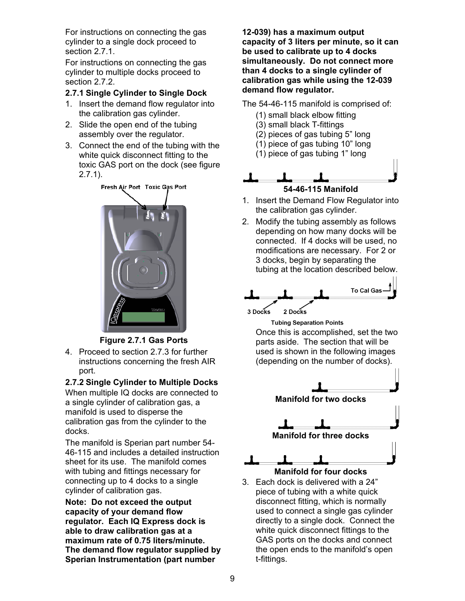For instructions on connecting the gas cylinder to a single dock proceed to section 2.7.1.

For instructions on connecting the gas cylinder to multiple docks proceed to section 2.7.2.

### **2.7.1 Single Cylinder to Single Dock**

- 1. Insert the demand flow regulator into the calibration gas cylinder.
- 2. Slide the open end of the tubing assembly over the regulator.
- 3. Connect the end of the tubing with the white quick disconnect fitting to the toxic GAS port on the dock (see figure 2.7.1).



### **Figure 2.7.1 Gas Ports**

4. Proceed to section 2.7.3 for further instructions concerning the fresh AIR port.

### **2.7.2 Single Cylinder to Multiple Docks**

When multiple IQ docks are connected to a single cylinder of calibration gas, a manifold is used to disperse the calibration gas from the cylinder to the docks.

The manifold is Sperian part number 54- 46-115 and includes a detailed instruction sheet for its use. The manifold comes with tubing and fittings necessary for connecting up to 4 docks to a single cylinder of calibration gas.

**Note: Do not exceed the output capacity of your demand flow regulator. Each IQ Express dock is able to draw calibration gas at a maximum rate of 0.75 liters/minute. The demand flow regulator supplied by Sperian Instrumentation (part number** 

**12-039) has a maximum output capacity of 3 liters per minute, so it can be used to calibrate up to 4 docks simultaneously. Do not connect more than 4 docks to a single cylinder of calibration gas while using the 12-039 demand flow regulator.** 

The 54-46-115 manifold is comprised of:

- (1) small black elbow fitting
- (3) small black T-fittings
- (2) pieces of gas tubing 5" long
- (1) piece of gas tubing 10" long
- (1) piece of gas tubing 1" long



- 1. Insert the Demand Flow Regulator into the calibration gas cylinder.
- 2. Modify the tubing assembly as follows depending on how many docks will be connected. If 4 docks will be used, no modifications are necessary. For 2 or 3 docks, begin by separating the tubing at the location described below.



**Tubing Separation Points**  Once this is accomplished, set the two parts aside. The section that will be used is shown in the following images



3. Each dock is delivered with a 24" piece of tubing with a white quick disconnect fitting, which is normally used to connect a single gas cylinder directly to a single dock. Connect the white quick disconnect fittings to the GAS ports on the docks and connect the open ends to the manifold's open t-fittings.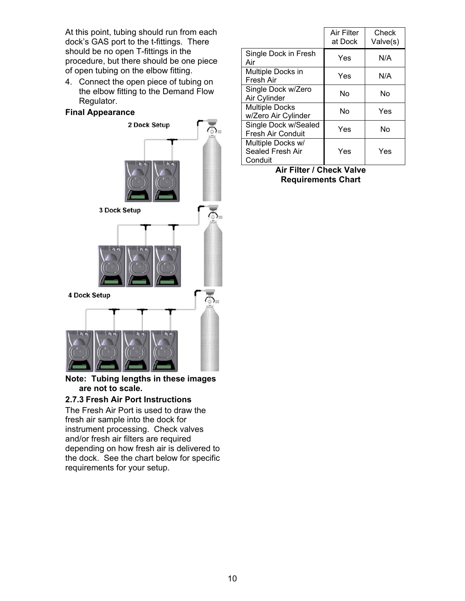At this point, tubing should run from each dock's GAS port to the t-fittings. There should be no open T-fittings in the procedure, but there should be one piece of open tubing on the elbow fitting.

4. Connect the open piece of tubing on the elbow fitting to the Demand Flow Regulator.

### **Final Appearance**



**Note: Tubing lengths in these images are not to scale.** 

### **2.7.3 Fresh Air Port Instructions**

The Fresh Air Port is used to draw the fresh air sample into the dock for instrument processing. Check valves and/or fresh air filters are required depending on how fresh air is delivered to the dock. See the chart below for specific requirements for your setup.

|                                                  | Air Filter<br>at Dock | Check<br>Valve(s) |
|--------------------------------------------------|-----------------------|-------------------|
| Single Dock in Fresh<br>Air                      | Yes                   | N/A               |
| Multiple Docks in<br>Fresh Air                   | Yes                   | N/A               |
| Single Dock w/Zero<br>Air Cylinder               | N٥                    | Nο                |
| <b>Multiple Docks</b><br>w/Zero Air Cylinder     | No                    | Yes               |
| Single Dock w/Sealed<br>Fresh Air Conduit        | Yes                   | N٥                |
| Multiple Docks w/<br>Sealed Fresh Air<br>Conduit | Yes                   | Yes               |

#### **Air Filter / Check Valve Requirements Chart**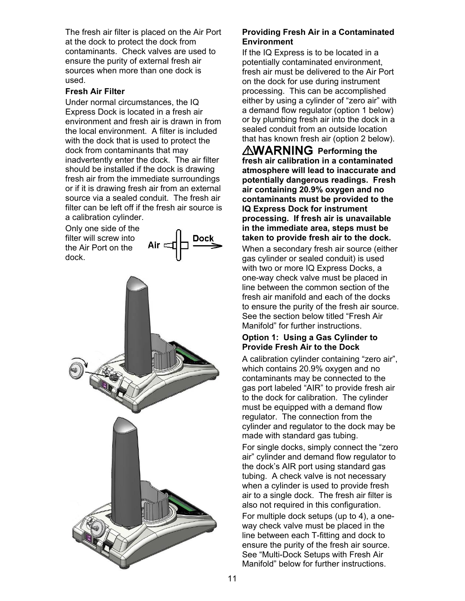The fresh air filter is placed on the Air Port at the dock to protect the dock from contaminants. Check valves are used to ensure the purity of external fresh air sources when more than one dock is used.

#### **Fresh Air Filter**

Under normal circumstances, the IQ Express Dock is located in a fresh air environment and fresh air is drawn in from the local environment. A filter is included with the dock that is used to protect the dock from contaminants that may inadvertently enter the dock. The air filter should be installed if the dock is drawing fresh air from the immediate surroundings or if it is drawing fresh air from an external source via a sealed conduit. The fresh air filter can be left off if the fresh air source is a calibration cylinder.

Only one side of the filter will screw into the Air Port on the dock.





### **Providing Fresh Air in a Contaminated Environment**

If the IQ Express is to be located in a potentially contaminated environment, fresh air must be delivered to the Air Port on the dock for use during instrument processing. This can be accomplished either by using a cylinder of "zero air" with a demand flow regulator (option 1 below) or by plumbing fresh air into the dock in a sealed conduit from an outside location that has known fresh air (option 2 below).

**AWARNING** Performing the **fresh air calibration in a contaminated atmosphere will lead to inaccurate and potentially dangerous readings. Fresh air containing 20.9% oxygen and no contaminants must be provided to the IQ Express Dock for instrument processing. If fresh air is unavailable in the immediate area, steps must be taken to provide fresh air to the dock.**  When a secondary fresh air source (either gas cylinder or sealed conduit) is used with two or more IQ Express Docks, a one-way check valve must be placed in line between the common section of the fresh air manifold and each of the docks to ensure the purity of the fresh air source. See the section below titled "Fresh Air Manifold" for further instructions.

### **Option 1: Using a Gas Cylinder to Provide Fresh Air to the Dock**

A calibration cylinder containing "zero air", which contains 20.9% oxygen and no contaminants may be connected to the gas port labeled "AIR" to provide fresh air to the dock for calibration. The cylinder must be equipped with a demand flow regulator. The connection from the cylinder and regulator to the dock may be made with standard gas tubing.

For single docks, simply connect the "zero air" cylinder and demand flow regulator to the dock's AIR port using standard gas tubing. A check valve is not necessary when a cylinder is used to provide fresh air to a single dock. The fresh air filter is also not required in this configuration.

For multiple dock setups (up to 4), a oneway check valve must be placed in the line between each T-fitting and dock to ensure the purity of the fresh air source. See "Multi-Dock Setups with Fresh Air Manifold" below for further instructions.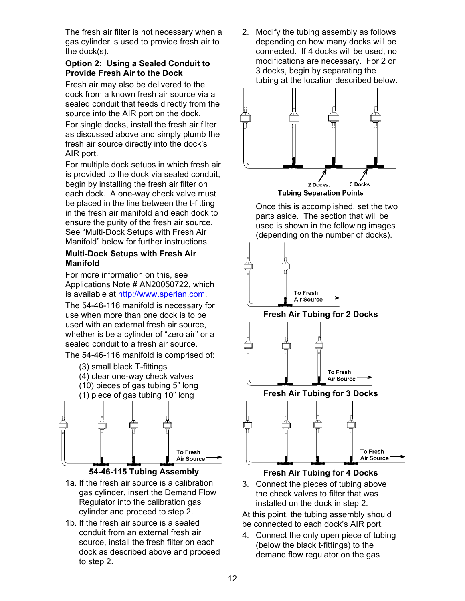The fresh air filter is not necessary when a gas cylinder is used to provide fresh air to the dock(s).

### **Option 2: Using a Sealed Conduit to Provide Fresh Air to the Dock**

Fresh air may also be delivered to the dock from a known fresh air source via a sealed conduit that feeds directly from the source into the AIR port on the dock. For single docks, install the fresh air filter as discussed above and simply plumb the fresh air source directly into the dock's AIR port.

For multiple dock setups in which fresh air is provided to the dock via sealed conduit, begin by installing the fresh air filter on each dock. A one-way check valve must be placed in the line between the t-fitting in the fresh air manifold and each dock to ensure the purity of the fresh air source. See "Multi-Dock Setups with Fresh Air Manifold" below for further instructions.

### **Multi-Dock Setups with Fresh Air Manifold**

For more information on this, see Applications Note # AN20050722, which is available at http://www.sperian.com.

The 54-46-116 manifold is necessary for use when more than one dock is to be used with an external fresh air source, whether is be a cylinder of "zero air" or a sealed conduit to a fresh air source.

The 54-46-116 manifold is comprised of:

(3) small black T-fittings (4) clear one-way check valves (10) pieces of gas tubing 5" long (1) piece of gas tubing 10" long

### **54-46-115 Tubing Assembly**

**To Fresh** 

Air Source<sup>-</sup>

- 1a. If the fresh air source is a calibration gas cylinder, insert the Demand Flow Regulator into the calibration gas cylinder and proceed to step 2.
- 1b. If the fresh air source is a sealed conduit from an external fresh air source, install the fresh filter on each dock as described above and proceed to step 2.

2. Modify the tubing assembly as follows depending on how many docks will be connected. If 4 docks will be used, no modifications are necessary. For 2 or 3 docks, begin by separating the tubing at the location described below.



 Once this is accomplished, set the two parts aside. The section that will be used is shown in the following images (depending on the number of docks).



**Fresh Air Tubing for 2 Docks** 



**Fresh Air Tubing for 3 Docks** 



### **Fresh Air Tubing for 4 Docks**

3. Connect the pieces of tubing above the check valves to filter that was installed on the dock in step 2.

At this point, the tubing assembly should be connected to each dock's AIR port.

4. Connect the only open piece of tubing (below the black t-fittings) to the demand flow regulator on the gas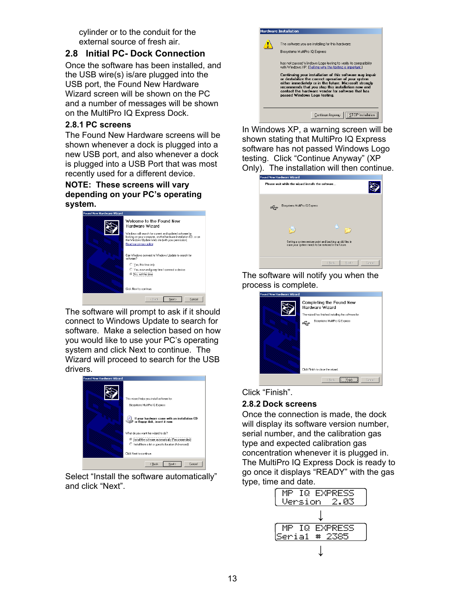cylinder or to the conduit for the external source of fresh air.

### **2.8 Initial PC- Dock Connection**

Once the software has been installed, and the USB wire(s) is/are plugged into the USB port, the Found New Hardware Wizard screen will be shown on the PC and a number of messages will be shown on the MultiPro IQ Express Dock.

### **2.8.1 PC screens**

The Found New Hardware screens will be shown whenever a dock is plugged into a new USB port, and also whenever a dock is plugged into a USB Port that was most recently used for a different device.

#### **NOTE: These screens will vary depending on your PC's operating system.**



The software will prompt to ask if it should connect to Windows Update to search for software. Make a selection based on how you would like to use your PC's operating system and click Next to continue. The Wizard will proceed to search for the USB drivers.



Select "Install the software automatically" and click "Next".



In Windows XP, a warning screen will be shown stating that MultiPro IQ Express software has not passed Windows Logo testing. Click "Continue Anyway" (XP Only). The installation will then continue.



The software will notify you when the process is complete.



Click "Finish".

### **2.8.2 Dock screens**

Once the connection is made, the dock will display its software version number, serial number, and the calibration gas type and expected calibration gas concentration whenever it is plugged in. The MultiPro IQ Express Dock is ready to go once it displays "READY" with the gas type, time and date.

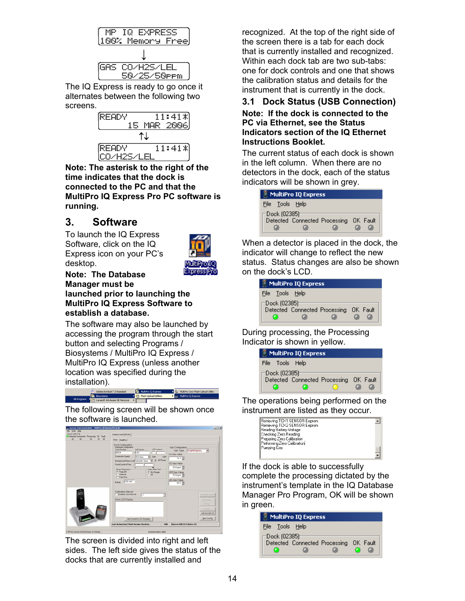

The IQ Express is ready to go once it alternates between the following two screens.



**Note: The asterisk to the right of the time indicates that the dock is connected to the PC and that the MultiPro IQ Express Pro PC software is running.** 

### **3. Software**

To launch the IQ Express Software, click on the IQ Express icon on your PC's desktop.



### **Note: The Database Manager must be**

**launched prior to launching the MultiPro IQ Express Software to establish a database.** 

The software may also be launched by accessing the program through the start button and selecting Programs / Biosystems / MultiPro IQ Express / MultiPro IQ Express (unless another location was specified during the installation).



The following screen will be shown once the software is launched.



The screen is divided into right and left sides. The left side gives the status of the docks that are currently installed and

recognized. At the top of the right side of the screen there is a tab for each dock that is currently installed and recognized. Within each dock tab are two sub-tabs: one for dock controls and one that shows the calibration status and details for the instrument that is currently in the dock.

#### **3.1 Dock Status (USB Connection) Note: If the dock is connected to the PC via Ethernet, see the Status Indicators section of the IQ Ethernet Instructions Booklet.**

The current status of each dock is shown in the left column. When there are no detectors in the dock, each of the status indicators will be shown in grey.

| <b>MultiPro IQ Express</b> |  |                                        |  |  |
|----------------------------|--|----------------------------------------|--|--|
| File Tools Help            |  |                                        |  |  |
| -Dock (02385)              |  | Detected Connected Processing OK Fault |  |  |

When a detector is placed in the dock, the indicator will change to reflect the new status. Status changes are also be shown on the dock's LCD.

|                 | <b>MultiPro IQ Express</b> |                                        |  |
|-----------------|----------------------------|----------------------------------------|--|
| File Tools Help |                            |                                        |  |
| ⊤Dock (02385)   |                            | Detected Connected Processing OK Fault |  |

During processing, the Processing Indicator is shown in yellow.

| <b>MultiPro IQ Express</b> |                                        |  |  |  |
|----------------------------|----------------------------------------|--|--|--|
| File Tools Help            |                                        |  |  |  |
| ⊤Dock (02385)              | Detected Connected Processing OK Fault |  |  |  |

The operations being performed on the instrument are listed as they occur.

| Retrieving TOX1 SENSOR Eeprom<br>Retrieving TOX2 SENSOR Eeprom<br>Reading Battery Voltage<br>Checking Zero Reading<br>Preparing Zero Calibration<br>Performing Zero Calibration<br>Pumping Gas |  |
|------------------------------------------------------------------------------------------------------------------------------------------------------------------------------------------------|--|
|                                                                                                                                                                                                |  |

If the dock is able to successfully complete the processing dictated by the instrument's template in the IQ Database Manager Pro Program, OK will be shown in green.

| MultiPro IQ Express                                    |  |
|--------------------------------------------------------|--|
| File Tools Help                                        |  |
| Dock (02385)<br>Detected Connected Processing OK Fault |  |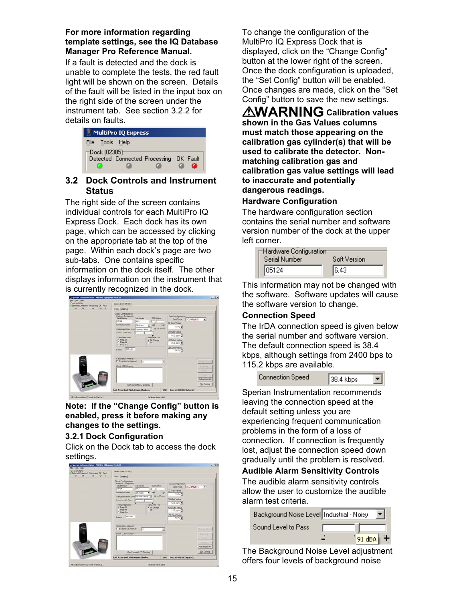#### **For more information regarding template settings, see the IQ Database Manager Pro Reference Manual.**

If a fault is detected and the dock is unable to complete the tests, the red fault light will be shown on the screen. Details of the fault will be listed in the input box on the right side of the screen under the instrument tab. See section 3.2.2 for details on faults.

|                 | <b>MultiPro IQ Express</b>             |  |
|-----------------|----------------------------------------|--|
| File Tools Help |                                        |  |
| Dock (02385)    | Detected Connected Processing OK Fault |  |

### **3.2 Dock Controls and Instrument Status**

The right side of the screen contains individual controls for each MultiPro IQ Express Dock. Each dock has its own page, which can be accessed by clicking on the appropriate tab at the top of the page. Within each dock's page are two sub-tabs. One contains specific information on the dock itself. The other displays information on the instrument that is currently recognized in the dock.



**Note: If the "Change Config" button is enabled, press it before making any changes to the settings.** 

### **3.2.1 Dock Configuration**

Click on the Dock tab to access the dock settings.



To change the configuration of the MultiPro IQ Express Dock that is displayed, click on the "Change Config" button at the lower right of the screen. Once the dock configuration is uploaded, the "Set Config" button will be enabled. Once changes are made, click on the "Set Config" button to save the new settings.

*AWARNING Calibration values* **shown in the Gas Values columns must match those appearing on the calibration gas cylinder(s) that will be used to calibrate the detector. Nonmatching calibration gas and calibration gas value settings will lead to inaccurate and potentially dangerous readings.** 

### **Hardware Configuration**

The hardware configuration section contains the serial number and software version number of the dock at the upper left corner.

| Hardware Configuration <sup>-</sup> |              |
|-------------------------------------|--------------|
| Serial Number                       | Soft Version |
| 05124                               | 6.43         |

This information may not be changed with the software. Software updates will cause the software version to change.

### **Connection Speed**

The IrDA connection speed is given below the serial number and software version. The default connection speed is 38.4 kbps, although settings from 2400 bps to 115.2 kbps are available.

Connection Speed  $38.4$  kbps

Sperian Instrumentation recommends leaving the connection speed at the default setting unless you are experiencing frequent communication problems in the form of a loss of connection. If connection is frequently lost, adjust the connection speed down gradually until the problem is resolved.

### **Audible Alarm Sensitivity Controls**

The audible alarm sensitivity controls allow the user to customize the audible alarm test criteria.

| Background Noise Level Industrial - Noisy |        |  |
|-------------------------------------------|--------|--|
| Sound Level to Pass                       |        |  |
|                                           | 91 dBA |  |

The Background Noise Level adjustment offers four levels of background noise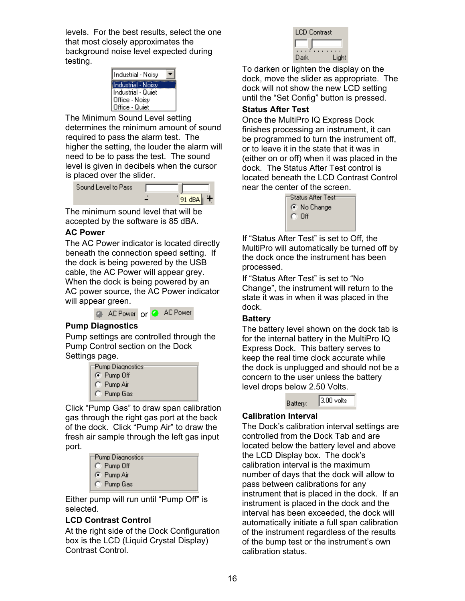levels. For the best results, select the one that most closely approximates the background noise level expected during testing.

| Industrial - Noisy |  |
|--------------------|--|
| Industrial - Noisy |  |
| Industrial - Quiet |  |
| Office - Noisy     |  |
| Office - Quiet     |  |

The Minimum Sound Level setting determines the minimum amount of sound required to pass the alarm test. The higher the setting, the louder the alarm will need to be to pass the test. The sound level is given in decibels when the cursor is placed over the slider.

| Sound Level to Pass |          |
|---------------------|----------|
|                     | $91$ dBA |

The minimum sound level that will be accepted by the software is 85 dBA.

### **AC Power**

The AC Power indicator is located directly beneath the connection speed setting. If the dock is being powered by the USB cable, the AC Power will appear grey. When the dock is being powered by an AC power source, the AC Power indicator will appear green.



### **Pump Diagnostics**

Pump settings are controlled through the Pump Control section on the Dock Settings page.

| ⊤Pump Diagnostics |
|-------------------|
| C Pump Off        |
|                   |
| C Pump Air        |
| C Pump Gas        |

Click "Pump Gas" to draw span calibration gas through the right gas port at the back of the dock. Click "Pump Air" to draw the fresh air sample through the left gas input port.

| <del>⊤ P</del> ump Diagnostics <sup>.</sup> |  |
|---------------------------------------------|--|
| C Pump Off                                  |  |
| C Pump Air                                  |  |
| C Pump Gas                                  |  |

Either pump will run until "Pump Off" is selected.

### **LCD Contrast Control**

At the right side of the Dock Configuration box is the LCD (Liquid Crystal Display) Contrast Control.

| CD Contrast |      |  |  |  |  |  |
|-------------|------|--|--|--|--|--|
|             |      |  |  |  |  |  |
| larki       | iaht |  |  |  |  |  |

To darken or lighten the display on the dock, move the slider as appropriate. The dock will not show the new LCD setting until the "Set Config" button is pressed.

### **Status After Test**

Once the MultiPro IQ Express Dock finishes processing an instrument, it can be programmed to turn the instrument off, or to leave it in the state that it was in (either on or off) when it was placed in the dock. The Status After Test control is located beneath the LCD Contrast Control near the center of the screen.



If "Status After Test" is set to Off, the MultiPro will automatically be turned off by the dock once the instrument has been processed.

If "Status After Test" is set to "No Change", the instrument will return to the state it was in when it was placed in the dock.

### **Battery**

The battery level shown on the dock tab is for the internal battery in the MultiPro IQ Express Dock. This battery serves to keep the real time clock accurate while the dock is unplugged and should not be a concern to the user unless the battery level drops below 2.50 Volts.

> 3.00 volts Battery:

### **Calibration Interval**

The Dock's calibration interval settings are controlled from the Dock Tab and are located below the battery level and above the LCD Display box. The dock's calibration interval is the maximum number of days that the dock will allow to pass between calibrations for any instrument that is placed in the dock. If an instrument is placed in the dock and the interval has been exceeded, the dock will automatically initiate a full span calibration of the instrument regardless of the results of the bump test or the instrument's own calibration status.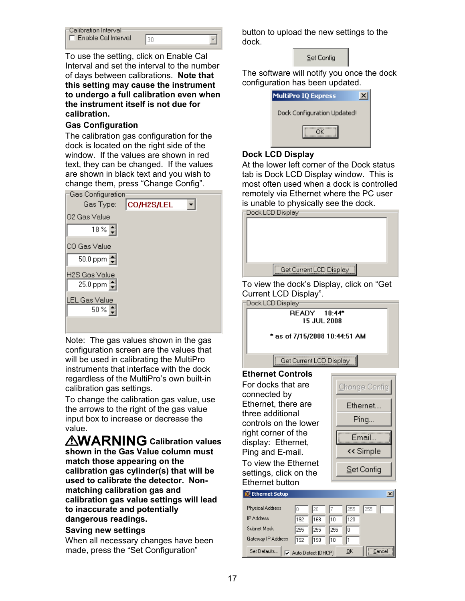| -Calibration Interval-       |     |
|------------------------------|-----|
| $\Gamma$ Enable Cal Interval | 130 |

To use the setting, click on Enable Cal Interval and set the interval to the number of days between calibrations. **Note that this setting may cause the instrument to undergo a full calibration even when the instrument itself is not due for calibration.**

### **Gas Configuration**

The calibration gas configuration for the dock is located on the right side of the window. If the values are shown in red text, they can be changed. If the values are shown in black text and you wish to change them, press "Change Config".



Note: The gas values shown in the gas configuration screen are the values that will be used in calibrating the MultiPro instruments that interface with the dock regardless of the MultiPro's own built-in calibration gas settings.

To change the calibration gas value, use the arrows to the right of the gas value input box to increase or decrease the value.

*AWARNING Calibration values* **shown in the Gas Value column must match those appearing on the calibration gas cylinder(s) that will be used to calibrate the detector. Nonmatching calibration gas and calibration gas value settings will lead to inaccurate and potentially dangerous readings.** 

#### **Saving new settings**

When all necessary changes have been made, press the "Set Configuration"

button to upload the new settings to the dock.



The software will notify you once the dock configuration has been updated.

| <b>MultiPro IQ Express</b>  |  |
|-----------------------------|--|
| Dock Configuration Updated! |  |
|                             |  |

### **Dock LCD Display**

At the lower left corner of the Dock status tab is Dock LCD Display window. This is most often used when a dock is controlled remotely via Ethernet where the PC user is unable to physically see the dock.

| )ock LCD Display |  |
|------------------|--|
|                  |  |

Get Current LCD Display

To view the dock's Display, click on "Get Current LCD Display".

Dock LCD Display-

READY 10:44\* **15 JUL 2008** 

\* as of 7/15/2008 10:44:51 AM

Get Current LCD Display

### **Ethernet Controls**

For docks that are connected by Ethernet, there are three additional controls on the lower right corner of the display: Ethernet, Ping and E-mail. To view the Ethernet settings, click on the Ethernet button

| Change Config |
|---------------|
| Ethernet      |
| Ping          |
| Email.        |
| << Simple     |
| Set Confiq    |

| 10 Ethernet Setup       |      |                    |     |      |        |
|-------------------------|------|--------------------|-----|------|--------|
| <b>Physical Address</b> |      | 120                |     | 255  | 255    |
| <b>IP Address</b>       | 1192 | 1168               | 10  | 1120 |        |
| Subnet Mask             | 255  | 255                | 255 | IО   |        |
| Gateway IP Address      | 1192 | 1198               | 110 |      |        |
| Set Defaults            |      | Auto Detect (DHCP) |     | ŪΚ   | Cancel |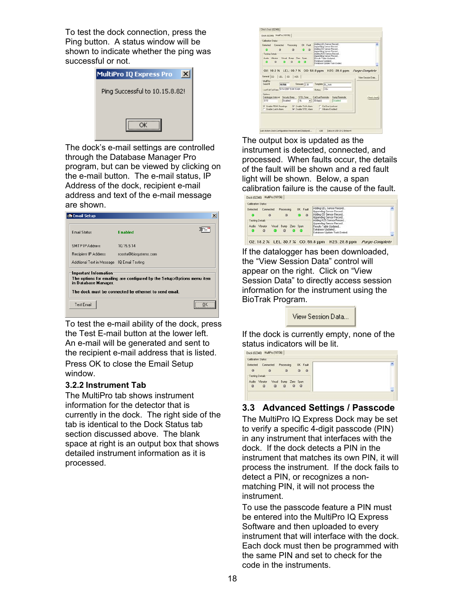To test the dock connection, press the Ping button. A status window will be shown to indicate whether the ping was successful or not.



The dock's e-mail settings are controlled through the Database Manager Pro program, but can be viewed by clicking on the e-mail button. The e-mail status, IP Address of the dock, recipient e-mail address and text of the e-mail message are shown.



To test the e-mail ability of the dock, press the Test E-mail button at the lower left. An e-mail will be generated and sent to the recipient e-mail address that is listed. Press OK to close the Email Setup window.

### **3.2.2 Instrument Tab**

The MultiPro tab shows instrument information for the detector that is currently in the dock. The right side of the tab is identical to the Dock Status tab section discussed above. The blank space at right is an output box that shows detailed instrument information as it is processed.

| OK Fault<br>Detected Connected Processing<br><b>Testing Details</b><br>Audio Vibrator Visual Sump Zero Span- | Adding LEL Sensor Record.<br>Appending Sensor Record<br>Adding CD Sensor Record<br>Appending Sensor Record<br>Adding H2S Sensor Record.<br>Appending Sensor Report<br>Rends Table Updated<br>Database Undated<br>Database Llodate Task Ended |                   |
|--------------------------------------------------------------------------------------------------------------|----------------------------------------------------------------------------------------------------------------------------------------------------------------------------------------------------------------------------------------------|-------------------|
| 02:18.2 % LEL:30.7 % CO:56.8 ppm H2S:28.8 ppm Purge Complete<br>General 02   LEL   CO   H2S                  |                                                                                                                                                                                                                                              | View Session Data |
| <b>MaPin</b><br>Senial #<br>Firmware (2.30)<br>16156<br>Last Full Cal Diale 5/14/2007 9:34 18 AM             | Template DL Instr<br><b>36v</b><br><b>Battery</b>                                                                                                                                                                                            |                   |
| <b>Options</b><br>STEL Two<br>Databogon Interval Security Beep<br>0.10<br>Disabled<br>15                     | Cal Due Renander Burg Renander<br>30 dauls!<br>Disabled                                                                                                                                                                                      | Chris's Dock      |
|                                                                                                              | F Enable TWA Alam<br>Callback online                                                                                                                                                                                                         |                   |

The output box is updated as the instrument is detected, connected, and processed. When faults occur, the details of the fault will be shown and a red fault light will be shown. Below, a span calibration failure is the cause of the fault.



If the datalogger has been downloaded, the "View Session Data" control will appear on the right. Click on "View Session Data" to directly access session information for the instrument using the BioTrak Program.

View Session Data...

If the dock is currently empty, none of the status indicators will be lit.



### **3.3 Advanced Settings / Passcode**

The MultiPro IQ Express Dock may be set to verify a specific 4-digit passcode (PIN) in any instrument that interfaces with the dock. If the dock detects a PIN in the instrument that matches its own PIN, it will process the instrument. If the dock fails to detect a PIN, or recognizes a nonmatching PIN, it will not process the instrument.

To use the passcode feature a PIN must be entered into the MultiPro IQ Express Software and then uploaded to every instrument that will interface with the dock. Each dock must then be programmed with the same PIN and set to check for the code in the instruments.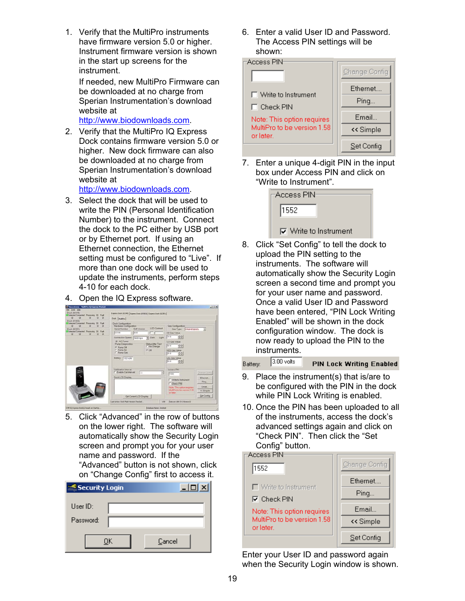1. Verify that the MultiPro instruments have firmware version 5.0 or higher. Instrument firmware version is shown in the start up screens for the instrument.

If needed, new MultiPro Firmware can be downloaded at no charge from Sperian Instrumentation's download website at

http://www.biodownloads.com.

2. Verify that the MultiPro IQ Express Dock contains firmware version 5.0 or higher. New dock firmware can also be downloaded at no charge from Sperian Instrumentation's download website at

http://www.biodownloads.com.

- 3. Select the dock that will be used to write the PIN (Personal Identification Number) to the instrument. Connect the dock to the PC either by USB port or by Ethernet port. If using an Ethernet connection, the Ethernet setting must be configured to "Live". If more than one dock will be used to update the instruments, perform steps 4-10 for each dock.
- 4. Open the IQ Express software.



5. Click "Advanced" in the row of buttons on the lower right. The software will automatically show the Security Login screen and prompt you for your user name and password. If the "Advanced" button is not shown, click on "Change Config" first to access it.



6. Enter a valid User ID and Password. The Access PIN settings will be shown:



7. Enter a unique 4-digit PIN in the input box under Access PIN and click on "Write to Instrument".

| Access PIN:                  |  |  |  |  |  |  |
|------------------------------|--|--|--|--|--|--|
| 1552                         |  |  |  |  |  |  |
| <b>⊽</b> Write to Instrument |  |  |  |  |  |  |

8. Click "Set Config" to tell the dock to upload the PIN setting to the instruments. The software will automatically show the Security Login screen a second time and prompt you for your user name and password. Once a valid User ID and Password have been entered, "PIN Lock Writing Enabled" will be shown in the dock configuration window. The dock is now ready to upload the PIN to the instruments.

 $3.00$  volts Battery: **PIN Lock Writing Enabled** 

- 9. Place the instrument(s) that is/are to be configured with the PIN in the dock while PIN Lock Writing is enabled.
- 10. Once the PIN has been uploaded to all of the instruments, access the dock's advanced settings again and click on "Check PIN". Then click the "Set Config" button.



Enter your User ID and password again when the Security Login window is shown.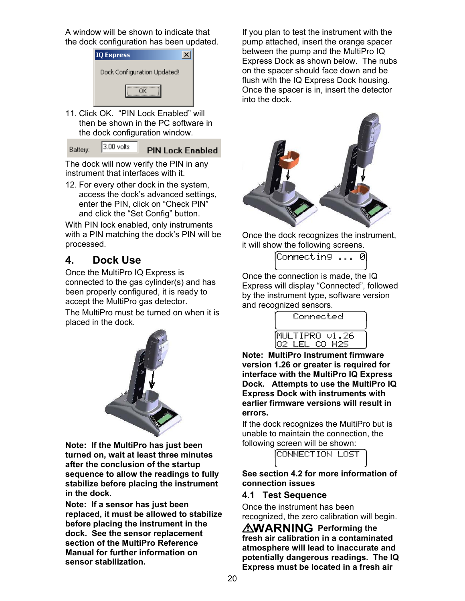A window will be shown to indicate that the dock configuration has been updated.

| <b>IQ Express</b>           |  |
|-----------------------------|--|
| Dock Configuration Updated! |  |
|                             |  |

11. Click OK. "PIN Lock Enabled" will then be shown in the PC software in the dock configuration window.

The dock will now verify the PIN in any instrument that interfaces with it.

12. For every other dock in the system, access the dock's advanced settings, enter the PIN, click on "Check PIN" and click the "Set Config" button.

With PIN lock enabled, only instruments with a PIN matching the dock's PIN will be processed.

### **4. Dock Use**

Once the MultiPro IQ Express is connected to the gas cylinder(s) and has been properly configured, it is ready to accept the MultiPro gas detector.

The MultiPro must be turned on when it is placed in the dock.



**Note: If the MultiPro has just been turned on, wait at least three minutes after the conclusion of the startup sequence to allow the readings to fully stabilize before placing the instrument in the dock.** 

**Note: If a sensor has just been replaced, it must be allowed to stabilize before placing the instrument in the dock. See the sensor replacement section of the MultiPro Reference Manual for further information on sensor stabilization.** 

If you plan to test the instrument with the pump attached, insert the orange spacer between the pump and the MultiPro IQ Express Dock as shown below. The nubs on the spacer should face down and be flush with the IQ Express Dock housing. Once the spacer is in, insert the detector into the dock.



Once the dock recognizes the instrument, it will show the following screens.



Once the connection is made, the IQ Express will display "Connected", followed by the instrument type, software version and recognized sensors.



**Note: MultiPro Instrument firmware version 1.26 or greater is required for interface with the MultiPro IQ Express Dock. Attempts to use the MultiPro IQ Express Dock with instruments with earlier firmware versions will result in errors.** 

If the dock recognizes the MultiPro but is unable to maintain the connection, the following screen will be shown:

CONNECTION LOST

**See section 4.2 for more information of connection issues** 

### **4.1 Test Sequence**

Once the instrument has been recognized, the zero calibration will begin.

**AWARNING** Performing the **fresh air calibration in a contaminated atmosphere will lead to inaccurate and potentially dangerous readings. The IQ Express must be located in a fresh air**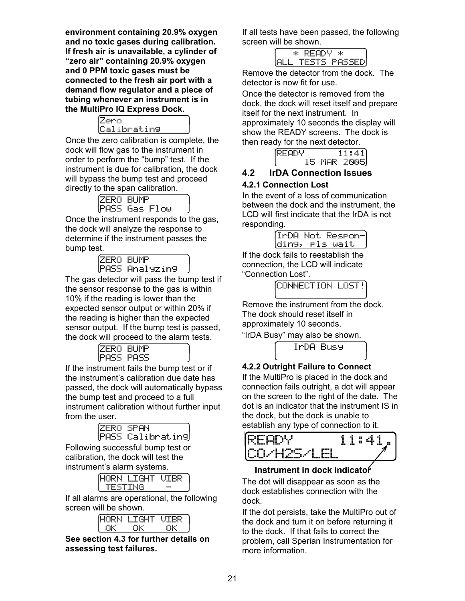**environment containing 20.9% oxygen and no toxic gases during calibration. If fresh air is unavailable, a cylinder of "zero air" containing 20.9% oxygen and 0 PPM toxic gases must be connected to the fresh air port with a demand flow regulator and a piece of tubing whenever an instrument is in the MultiPro IQ Express Dock.**

> (Zero Calibrating

Once the zero calibration is complete, the dock will flow gas to the instrument in order to perform the "bump" test. If the instrument is due for calibration, the dock will bypass the bump test and proceed directly to the span calibration.

Once the instrument responds to the gas, the dock will analyze the response to determine if the instrument passes the bump test.

| m | ш<br>m |
|---|--------|

The gas detector will pass the bump test if the sensor response to the gas is within 10% if the reading is lower than the expected sensor output or within 20% if the reading is higher than the expected sensor output. If the bump test is passed, the dock will proceed to the alarm tests.<br> **EERO BUMP** 



If the instrument fails the bump test or if the instrument's calibration due date has passed, the dock will automatically bypass the bump test and proceed to a full instrument calibration without further input from the user.



Following successful bump test or calibration, the dock will test the instrument's alarm systems.

|  | ---- | н   |
|--|------|-----|
|  |      | --- |
|  |      |     |

If all alarms are operational, the following screen will be shown.

| - 11 | - |
|------|---|
|      |   |

**See section 4.3 for further details on assessing test failures.** 

If all tests have been passed, the following screen will be shown.



Remove the detector from the dock. The detector is now fit for use.

Once the detector is removed from the dock, the dock will reset itself and prepare itself for the next instrument. In approximately 10 seconds the display will show the READY screens. The dock is then ready for the next detector.

| Y |  |  | н<br>п<br>- | . . |  |
|---|--|--|-------------|-----|--|
|   |  |  |             |     |  |

### **4.2 IrDA Connection Issues 4.2.1 Connection Lost**

In the event of a loss of communication between the dock and the instrument, the LCD will first indicate that the IrDA is not responding.

> (IrDA Not Respondin9, pls wait

If the dock fails to reestablish the connection, the LCD will indicate "Connection Lost".

CONNECTION LOST!

Remove the instrument from the dock. The dock should reset itself in approximately 10 seconds.

"IrDA Busy" may also be shown.



### **4.2.2 Outright Failure to Connect**

If the MultiPro is placed in the dock and connection fails outright, a dot will appear on the screen to the right of the date. The dot is an indicator that the instrument IS in the dock, but the dock is unable to establish any type of connection to it.



### Instrument in dock indicator

The dot will disappear as soon as the dock establishes connection with the dock.

If the dot persists, take the MultiPro out of the dock and turn it on before returning it to the dock. If that fails to correct the problem, call Sperian Instrumentation for more information.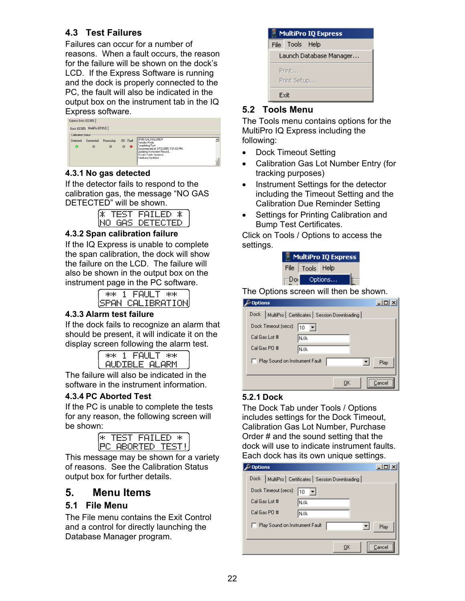### **4.3 Test Failures**

Failures can occur for a number of reasons. When a fault occurs, the reason for the failure will be shown on the dock's LCD. If the Express Software is running and the dock is properly connected to the PC, the fault will also be indicated in the output box on the instrument tab in the IQ Express software.

| Express Dock (02365)                |                               |                        |                    |                                                                                                                                                                            |  |
|-------------------------------------|-------------------------------|------------------------|--------------------|----------------------------------------------------------------------------------------------------------------------------------------------------------------------------|--|
|                                     | Dock (02305) MultiPro (01912) |                        |                    |                                                                                                                                                                            |  |
| Calibration Status<br>Detected<br>ο | Connected<br>$\alpha$         | Processing<br>$\alpha$ | OK Fault<br>$\sim$ | SPAN CAL FAILURE !!!<br>Standbu Mode<br>Completing Test<br>Disconnected at 3/15/2005 1:51:43 PM<br>Updating Instrument Record<br>Results Table Updated<br>Database Updated |  |

### **4.3.1 No gas detected**

If the detector fails to respond to the calibration gas, the message "NO GAS DETECTED" will be shown.

### **4.3.2 Span calibration failure**

If the IQ Express is unable to complete the span calibration, the dock will show the failure on the LCD. The failure will also be shown in the output box on the instrument page in the PC software.



### **4.3.3 Alarm test failure**

If the dock fails to recognize an alarm that should be present, it will indicate it on the display screen following the alarm test.



The failure will also be indicated in the software in the instrument information.

### **4.3.4 PC Aborted Test**

If the PC is unable to complete the tests for any reason, the following screen will be shown:



This message may be shown for a variety of reasons. See the Calibration Status output box for further details.

### **5. Menu Items**

### **5.1 File Menu**

The File menu contains the Exit Control and a control for directly launching the Database Manager program.



### **5.2 Tools Menu**

The Tools menu contains options for the MultiPro IQ Express including the following:

- Dock Timeout Setting
- Calibration Gas Lot Number Entry (for tracking purposes)
- Instrument Settings for the detector including the Timeout Setting and the Calibration Due Reminder Setting
- Settings for Printing Calibration and Bump Test Certificates.

Click on Tools / Options to access the settings.

|      | <b>MultiPro IQ Express</b> |         |  |  |  |  |  |
|------|----------------------------|---------|--|--|--|--|--|
|      | File   Tools Help          |         |  |  |  |  |  |
| -Doi |                            | Options |  |  |  |  |  |

The Options screen will then be shown.



### **5.2.1 Dock**

The Dock Tab under Tools / Options includes settings for the Dock Timeout, Calibration Gas Lot Number, Purchase Order # and the sound setting that the dock will use to indicate instrument faults. Each dock has its own unique settings.

| <b>Options</b>                 |                                               |        |
|--------------------------------|-----------------------------------------------|--------|
| Dock                           | MultiPro   Certificates   Session Downloading |        |
| Dock Timeout (secs):           | $\vert \cdot \vert$<br>110                    |        |
| Cal Gas Lot #                  | N/A                                           |        |
| Cal Gas PO #                   | IN/A                                          |        |
| Play Sound on Instrument Fault |                                               | Play   |
|                                |                                               |        |
|                                | ΟK                                            | Cancel |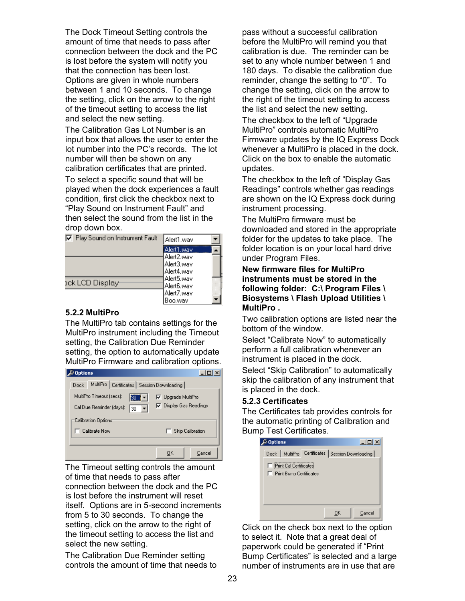The Dock Timeout Setting controls the amount of time that needs to pass after connection between the dock and the PC is lost before the system will notify you that the connection has been lost. Options are given in whole numbers between 1 and 10 seconds. To change the setting, click on the arrow to the right of the timeout setting to access the list and select the new setting.

The Calibration Gas Lot Number is an input box that allows the user to enter the lot number into the PC's records. The lot number will then be shown on any calibration certificates that are printed.

To select a specific sound that will be played when the dock experiences a fault condition, first click the checkbox next to "Play Sound on Instrument Fault" and then select the sound from the list in the drop down box.

| □ Play Sound on Instrument Fault | Alert1.wav |  |
|----------------------------------|------------|--|
|                                  | Alert1.wav |  |
|                                  | Alert2.wav |  |
|                                  | Alert3.wav |  |
|                                  | Alert4.wav |  |
|                                  | Alert5.wav |  |
| ock LCD Display                  | Alert6.wav |  |
|                                  | Alert7.wav |  |
|                                  | Boo.wav    |  |

### **5.2.2 MultiPro**

The MultiPro tab contains settings for the MultiPro instrument including the Timeout setting, the Calibration Due Reminder setting, the option to automatically update MultiPro Firmware and calibration options.



The Timeout setting controls the amount of time that needs to pass after connection between the dock and the PC is lost before the instrument will reset itself. Options are in 5-second increments from 5 to 30 seconds. To change the setting, click on the arrow to the right of the timeout setting to access the list and select the new setting.

The Calibration Due Reminder setting controls the amount of time that needs to pass without a successful calibration before the MultiPro will remind you that calibration is due. The reminder can be set to any whole number between 1 and 180 days. To disable the calibration due reminder, change the setting to "0". To change the setting, click on the arrow to the right of the timeout setting to access the list and select the new setting. The checkbox to the left of "Upgrade MultiPro" controls automatic MultiPro Firmware updates by the IQ Express Dock whenever a MultiPro is placed in the dock. Click on the box to enable the automatic updates.

The checkbox to the left of "Display Gas Readings" controls whether gas readings are shown on the IQ Express dock during instrument processing.

The MultiPro firmware must be downloaded and stored in the appropriate folder for the updates to take place. The folder location is on your local hard drive under Program Files.

#### **New firmware files for MultiPro instruments must be stored in the following folder: C:\ Program Files \ Biosystems \ Flash Upload Utilities \ MultiPro .**

Two calibration options are listed near the bottom of the window.

Select "Calibrate Now" to automatically perform a full calibration whenever an instrument is placed in the dock.

Select "Skip Calibration" to automatically skip the calibration of any instrument that is placed in the dock.

### **5.2.3 Certificates**

The Certificates tab provides controls for the automatic printing of Calibration and Bump Test Certificates.



Click on the check box next to the option to select it. Note that a great deal of paperwork could be generated if "Print Bump Certificates" is selected and a large number of instruments are in use that are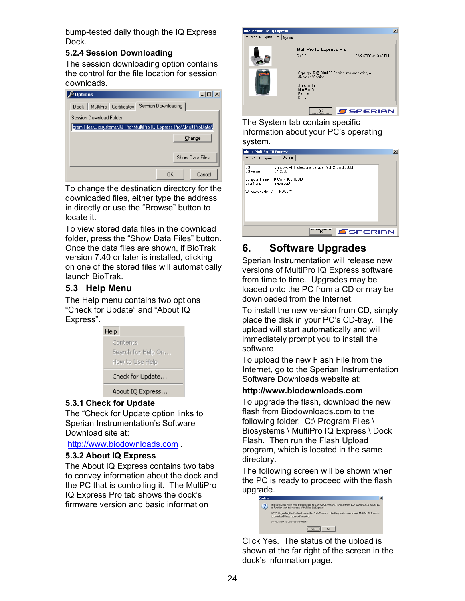bump-tested daily though the IQ Express Dock.

### **5.2.4 Session Downloading**

The session downloading option contains the control for the file location for session downloads.



To change the destination directory for the downloaded files, either type the address in directly or use the "Browse" button to locate it.

To view stored data files in the download folder, press the "Show Data Files" button. Once the data files are shown, if BioTrak version 7.40 or later is installed, clicking on one of the stored files will automatically launch BioTrak.

### **5.3 Help Menu**

The Help menu contains two options "Check for Update" and "About IQ Express".



### **5.3.1 Check for Update**

The "Check for Update option links to Sperian Instrumentation's Software Download site at:

http://www.biodownloads.com .

### **5.3.2 About IQ Express**

The About IQ Express contains two tabs to convey information about the dock and the PC that is controlling it. The MultiPro IQ Express Pro tab shows the dock's firmware version and basic information



#### The System tab contain specific information about your PC's operating system.

| ວງບເບ⊓ກ.                                                                                                                                                                                                           |                                                        |                 |  |  |
|--------------------------------------------------------------------------------------------------------------------------------------------------------------------------------------------------------------------|--------------------------------------------------------|-----------------|--|--|
| <b>About MultiPro IQ Express</b>                                                                                                                                                                                   |                                                        | $\vert x \vert$ |  |  |
|                                                                                                                                                                                                                    | System                                                 |                 |  |  |
| MultiPro IQ Express Pro<br>los<br>Windows XP Professional Service Pack 2 (Build 2600)<br>OS Version<br>5.1.2600<br><b>BIOWMHOLMQUIST</b><br>Computer Name<br>User Name<br>mholmquist<br>Windows Folder: C:\WINDOWS |                                                        |                 |  |  |
|                                                                                                                                                                                                                    | <br><b>SPERIAN</b><br>ПK<br>-------------------------- |                 |  |  |

### **6. Software Upgrades**

Sperian Instrumentation will release new versions of MultiPro IQ Express software from time to time. Upgrades may be loaded onto the PC from a CD or may be downloaded from the Internet.

To install the new version from CD, simply place the disk in your PC's CD-tray. The upload will start automatically and will immediately prompt you to install the software.

To upload the new Flash File from the Internet, go to the Sperian Instrumentation Software Downloads website at:

### **http://www.biodownloads.com**

To upgrade the flash, download the new flash from Biodownloads.com to the following folder: C:\ Program Files \ Biosystems \ MultiPro IQ Express \ Dock Flash. Then run the Flash Upload program, which is located in the same directory.

The following screen will be shown when the PC is ready to proceed with the flash upgrade.

|     | $\sim$                                                                                                                                                      |  |  |  |
|-----|-------------------------------------------------------------------------------------------------------------------------------------------------------------|--|--|--|
| ey. | The Dock 2385 flash must be upgraded to 2.03 (2005/04/19 14:14:03) from 1.04 (2005/03/16 09:25:10)<br>to function with this version of MultiPro IO Express! |  |  |  |
|     | NOTE: Upgrading the flash will erase the Dock Memory. Use the previous version of MultiPro IO Express<br>to download these records if needed.               |  |  |  |
|     | Do you want to upgrade the Flash?                                                                                                                           |  |  |  |
|     | No<br>Yes                                                                                                                                                   |  |  |  |

Click Yes. The status of the upload is shown at the far right of the screen in the dock's information page.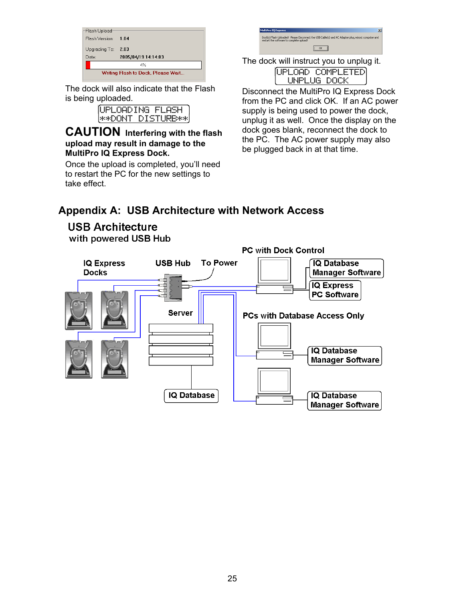| Flash Upload                       |                     |  |  |
|------------------------------------|---------------------|--|--|
| Flash Version:                     | 1 N 4               |  |  |
| Upgrading To:                      | 2.03                |  |  |
| Date:                              | 2005/04/19 14:14:03 |  |  |
| 4%                                 |                     |  |  |
| Writing Flash to Dock, Please Wait |                     |  |  |
|                                    |                     |  |  |

The dock will also indicate that the Flash is being uploaded.



**CAUTION Interfering with the flash upload may result in damage to the MultiPro IQ Express Dock.** 

Once the upload is completed, you'll need to restart the PC for the new settings to take effect.

| <b>MultiPro IQ Express</b>               | Dock(s) Flash Uploaded! Please Disconnect the USB Cable(s) and AC Adapter plug, reboot computer and |
|------------------------------------------|-----------------------------------------------------------------------------------------------------|
| rectart the software to complete upload! |                                                                                                     |

The dock will instruct you to unplug it. UPLOAD COMPLETED



Disconnect the MultiPro IQ Express Dock from the PC and click OK. If an AC power supply is being used to power the dock, unplug it as well. Once the display on the dock goes blank, reconnect the dock to the PC. The AC power supply may also be plugged back in at that time.

### **Appendix A: USB Architecture with Network Access**

### **USB Architecture**

with powered USB Hub

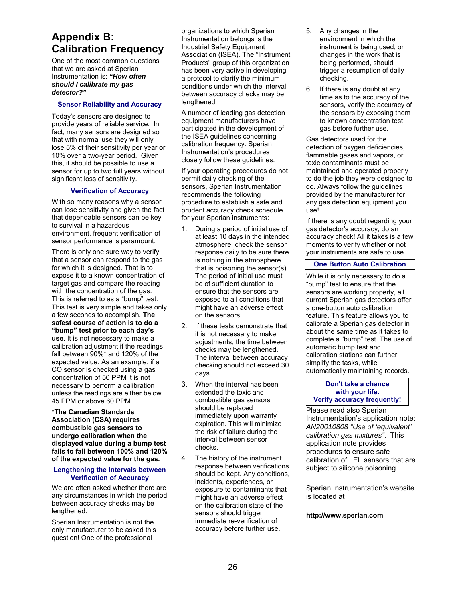### **Appendix B: Calibration Frequency**

One of the most common questions that we are asked at Sperian Instrumentation is: *"How often should I calibrate my gas detector?"*

#### **Sensor Reliability and Accuracy**

Today's sensors are designed to provide years of reliable service. In fact, many sensors are designed so that with normal use they will only lose 5% of their sensitivity per year or 10% over a two-year period. Given this, it should be possible to use a sensor for up to two full years without significant loss of sensitivity.

#### **Verification of Accuracy**

With so many reasons why a sensor can lose sensitivity and given the fact that dependable sensors can be key to survival in a hazardous environment, frequent verification of sensor performance is paramount.

There is only one sure way to verify that a sensor can respond to the gas for which it is designed. That is to expose it to a known concentration of target gas and compare the reading with the concentration of the gas. This is referred to as a "bump" test. This test is very simple and takes only a few seconds to accomplish. **The safest course of action is to do a "bump" test prior to each day's use**. It is not necessary to make a calibration adjustment if the readings fall between 90%\* and 120% of the expected value. As an example, if a CO sensor is checked using a gas concentration of 50 PPM it is not necessary to perform a calibration unless the readings are either below 45 PPM or above 60 PPM.

**\*The Canadian Standards Association (CSA) requires combustible gas sensors to undergo calibration when the displayed value during a bump test fails to fall between 100% and 120% of the expected value for the gas.** 

#### **Lengthening the Intervals between Verification of Accuracy**

We are often asked whether there are any circumstances in which the period between accuracy checks may be lengthened.

Sperian Instrumentation is not the only manufacturer to be asked this question! One of the professional

organizations to which Sperian Instrumentation belongs is the Industrial Safety Equipment Association (ISEA). The "Instrument Products" group of this organization has been very active in developing a protocol to clarify the minimum conditions under which the interval between accuracy checks may be lengthened.

A number of leading gas detection equipment manufacturers have participated in the development of the ISEA guidelines concerning calibration frequency. Sperian Instrumentation's procedures closely follow these guidelines.

If your operating procedures do not permit daily checking of the sensors, Sperian Instrumentation recommends the following procedure to establish a safe and prudent accuracy check schedule for your Sperian instruments:

- 1. During a period of initial use of at least 10 days in the intended atmosphere, check the sensor response daily to be sure there is nothing in the atmosphere that is poisoning the sensor(s). The period of initial use must be of sufficient duration to ensure that the sensors are exposed to all conditions that might have an adverse effect on the sensors.
- 2. If these tests demonstrate that it is not necessary to make adjustments, the time between checks may be lengthened. The interval between accuracy checking should not exceed 30 days.
- 3. When the interval has been extended the toxic and combustible gas sensors should be replaced immediately upon warranty expiration. This will minimize the risk of failure during the interval between sensor checks.
- 4. The history of the instrument response between verifications should be kept. Any conditions, incidents, experiences, or exposure to contaminants that might have an adverse effect on the calibration state of the sensors should trigger immediate re-verification of accuracy before further use.
- 5. Any changes in the environment in which the instrument is being used, or changes in the work that is being performed, should trigger a resumption of daily checking.
- 6. If there is any doubt at any time as to the accuracy of the sensors, verify the accuracy of the sensors by exposing them to known concentration test gas before further use.

Gas detectors used for the detection of oxygen deficiencies, flammable gases and vapors, or toxic contaminants must be maintained and operated properly to do the job they were designed to do. Always follow the guidelines provided by the manufacturer for any gas detection equipment you use!

If there is any doubt regarding your gas detector's accuracy, do an accuracy check! All it takes is a few moments to verify whether or not your instruments are safe to use.

#### **One Button Auto Calibration**

While it is only necessary to do a "bump" test to ensure that the sensors are working properly, all current Sperian gas detectors offer a one-button auto calibration feature. This feature allows you to calibrate a Sperian gas detector in about the same time as it takes to complete a "bump" test. The use of automatic bump test and calibration stations can further simplify the tasks, while automatically maintaining records.

#### **Don't take a chance with your life. Verify accuracy frequently!**

Please read also Sperian Instrumentation's application note: *AN20010808 "Use of 'equivalent' calibration gas mixtures"*. This application note provides procedures to ensure safe calibration of LEL sensors that are subject to silicone poisoning.

Sperian Instrumentation's website is located at

#### **http://www.sperian.com**